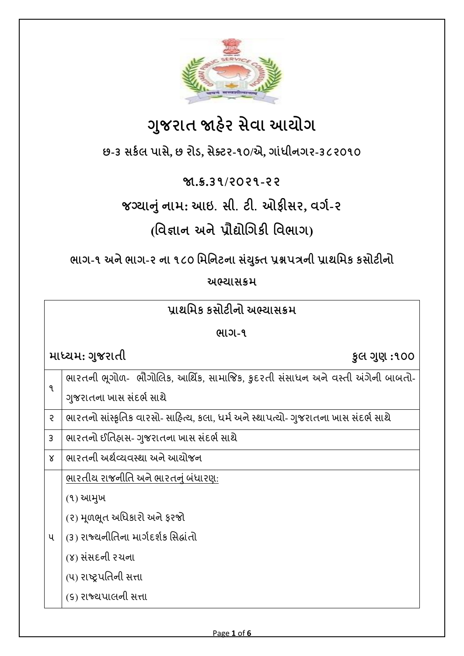

# **ગજુ રાત જાહેર સેવા આયોગ**

**છ-૩ સર્કલ પાસે, છ રોડ, સેક્ટર-૧૦/એ, ગાાંધીનગર-૩૮૨૦૧૦**

### **જા.ક્ર.૩૧/૨૦૨૧-૨૨**

**જગ્યાનાંુનામ: આઇ. સી. ટી. ઓફીસર, વગક-૨**

## **(વવજ્ઞાન અનેપ્રૌદ્યોગગર્ી વવભાગ)**

**ભાગ-૧ અનેભાગ-૨ ના ૧૮૦ વમવનટના સયાં ક્ુત પ્રશ્નપત્રની પ્રાથવમર્ ર્સોટીનો**

#### **અભ્યાસક્રમ**

| પ્રાથમિક કસોટીનો અભ્યાસક્રમ |                                                                                     |  |  |
|-----------------------------|-------------------------------------------------------------------------------------|--|--|
| ભાગ-૧                       |                                                                                     |  |  |
|                             | માધ્યમ: ગુજરાતી<br>કુલ ગુણ :૧૦૦                                                     |  |  |
| ঀ                           | ભારતની ભૂગોળ-  ભૌગોલિક, આર્થિક, સામાજિક, કુદરતી સંસાધન અને વસ્તી અંગેની બાબતો-      |  |  |
|                             | ગુજરાતના ખાસ સંદર્ભ સાથે                                                            |  |  |
| $\overline{z}$              | ભારતનો સાંસ્કૃતિક વારસો- સાહિત્ય, કલા, ધર્મ અને સ્થાપત્યો- ગુજરાતના ખાસ સંદર્ભ સાથે |  |  |
| 3                           | ભારતનો ઈતિહ્રાસ- ગુજરાતના ખાસ સંદર્ભ સાથે                                           |  |  |
| $\chi$                      | ભારતની અર્થવ્યવસ્થા અને આયોજન                                                       |  |  |
|                             | ભારતીય રાજનીતિ અને ભારતનું બંધારણ:                                                  |  |  |
|                             | (9) આમુખ                                                                            |  |  |
|                             | (૨) મૂળભૂત અધિકારો અને ફરજો                                                         |  |  |
| પ                           | (૩) રાજ્યનીતિના માર્ગદર્શક સિદ્ધાંતો                                                |  |  |
|                             | (૪) સંસદની રચના                                                                     |  |  |
|                             | (૫) રાષ્ટ્રપતિની સત્તા                                                              |  |  |
|                             | (૬) રાજ્યપાલની સત્તા                                                                |  |  |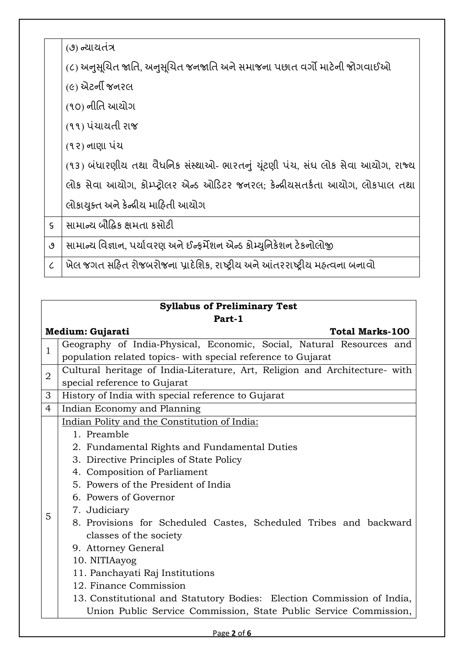|                             | (૭) ન્યાયતંત્ર                                                                 |
|-----------------------------|--------------------------------------------------------------------------------|
|                             | (૮) અનુસૂચિત જાતિ, અનુસૂચિત જનજાતિ અને સમાજના પછાત વર્ગો માટેની જોગવાઈઓ        |
|                             | (૯) એટર્ની જનરલ                                                                |
|                             | (૧૦) નીતિ આચોગ                                                                 |
|                             | (૧૧) પંચાયતી રાજ                                                               |
|                             | (૧૨) નાણા પંચ                                                                  |
|                             | (૧૩) બંધારણીય તથા વૈધનિક સંસ્થાઓ- ભારતનું ચૂંટણી પંચ, સંઘ લોક સેવા આયોગ, રાજ્ય |
|                             | લોક સેવા આચોગ, કોમ્પ્ટ્રોલર એન્ડ ઓડિટર જનરલ; કેન્દ્રીયસતર્કતા આચોગ, લોકપાલ તથા |
|                             | લોકાયુક્ત અને કેન્દ્રીય માહિતી આયોગ                                            |
| $\mathsf{S}$                | સામાન્ચ બૌદ્ધિક ક્ષમતા કસોટી                                                   |
| ٯ                           | સામાન્ય વિજ્ઞાન, પર્યાવરણ અને ઈન્ફર્મેશન એન્ડ કોમ્યુનિકેશન ટેકનોલોજી           |
| $\mathcal{L}_{\mathcal{L}}$ | ખેલ જગત સહિત રોજબરોજના પ્રાદેશિક, રાષ્ટ્રીય અને આંતરરાષ્ટ્રીય મહ્ત્વના બનાવો   |

| <b>Syllabus of Preliminary Test</b> |                                                                             |  |  |  |
|-------------------------------------|-----------------------------------------------------------------------------|--|--|--|
| Part-1                              |                                                                             |  |  |  |
|                                     | <b>Total Marks-100</b><br>Medium: Gujarati                                  |  |  |  |
| $\mathbf{1}$                        | Geography of India-Physical, Economic, Social, Natural Resources and        |  |  |  |
|                                     | population related topics- with special reference to Gujarat                |  |  |  |
| $\overline{2}$                      | Cultural heritage of India-Literature, Art, Religion and Architecture- with |  |  |  |
|                                     | special reference to Gujarat                                                |  |  |  |
| 3                                   | History of India with special reference to Gujarat                          |  |  |  |
| $\overline{4}$                      | Indian Economy and Planning                                                 |  |  |  |
|                                     | Indian Polity and the Constitution of India:                                |  |  |  |
|                                     | 1. Preamble                                                                 |  |  |  |
|                                     | 2. Fundamental Rights and Fundamental Duties                                |  |  |  |
|                                     | 3. Directive Principles of State Policy                                     |  |  |  |
|                                     | 4. Composition of Parliament                                                |  |  |  |
|                                     | 5. Powers of the President of India                                         |  |  |  |
|                                     | 6. Powers of Governor                                                       |  |  |  |
| 5                                   | 7. Judiciary                                                                |  |  |  |
|                                     | 8. Provisions for Scheduled Castes, Scheduled Tribes and backward           |  |  |  |
|                                     | classes of the society                                                      |  |  |  |
|                                     | 9. Attorney General                                                         |  |  |  |
|                                     | 10. NITIAayog                                                               |  |  |  |
|                                     | 11. Panchayati Raj Institutions                                             |  |  |  |
|                                     | 12. Finance Commission                                                      |  |  |  |
|                                     | 13. Constitutional and Statutory Bodies: Election Commission of India,      |  |  |  |
|                                     | Union Public Service Commission, State Public Service Commission,           |  |  |  |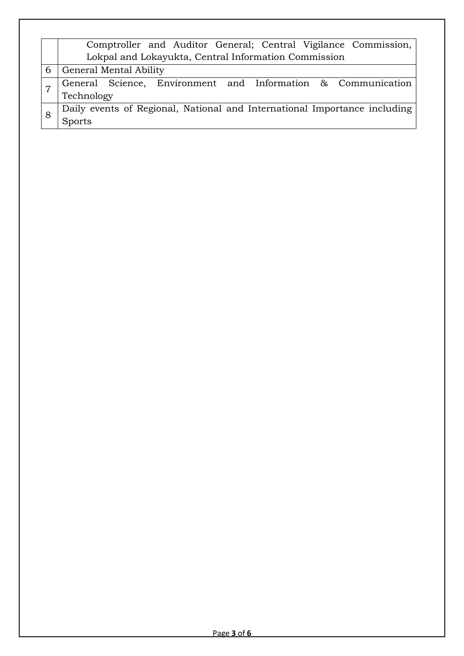|   | Comptroller and Auditor General; Central Vigilance Commission,            |
|---|---------------------------------------------------------------------------|
|   | Lokpal and Lokayukta, Central Information Commission                      |
| 6 | General Mental Ability                                                    |
|   | General Science, Environment and Information & Communication              |
|   | Technology                                                                |
|   | Daily events of Regional, National and International Importance including |
|   | <b>Sports</b>                                                             |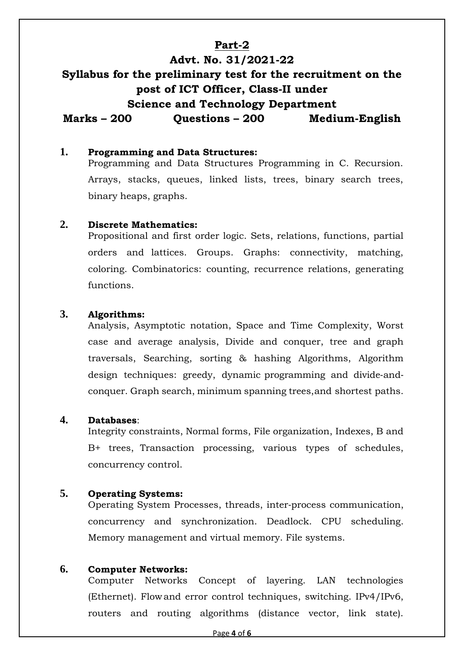#### **Part-2**

### **Advt. No. 31/2021-22 Syllabus for the preliminary test for the recruitment on the post of ICT Officer, Class-II under Science and Technology Department Marks – 200 Questions – 200 Medium-English**

#### **1. Programming and Data Structures:**

Programming and Data Structures Programming in C. Recursion. Arrays, stacks, queues, linked lists, trees, binary search trees, binary heaps, graphs.

#### **2. Discrete Mathematics:**

Propositional and first order logic. Sets, relations, functions, partial orders and lattices. Groups. Graphs: connectivity, matching, coloring. Combinatorics: counting, recurrence relations, generating functions.

#### **3. Algorithms:**

Analysis, Asymptotic notation, Space and Time Complexity, Worst case and average analysis, Divide and conquer, tree and graph traversals, Searching, sorting & hashing Algorithms, Algorithm design techniques: greedy, dynamic programming and divide‐and‐ conquer. Graph search, minimum spanning trees,and shortest paths.

#### **4. Databases**:

Integrity constraints, Normal forms, File organization, Indexes, B and B+ trees, Transaction processing, various types of schedules, concurrency control.

#### **5. Operating Systems:**

Operating System Processes, threads, inter‐process communication, concurrency and synchronization. Deadlock. CPU scheduling. Memory management and virtual memory. File systems.

#### **6. Computer Networks:**

Computer Networks Concept of layering. LAN technologies (Ethernet). Flow and error control techniques, switching. IPv4/IPv6, routers and routing algorithms (distance vector, link state).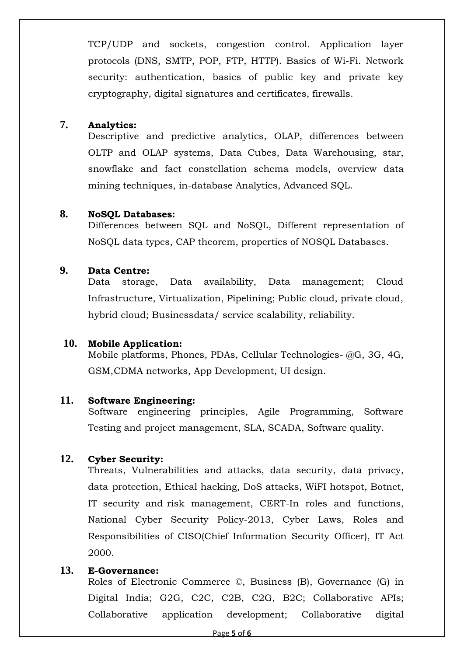TCP/UDP and sockets, congestion control. Application layer protocols (DNS, SMTP, POP, FTP, HTTP). Basics of Wi-Fi. Network security: authentication, basics of public key and private key cryptography, digital signatures and certificates, firewalls.

#### **7. Analytics:**

Descriptive and predictive analytics, OLAP, differences between OLTP and OLAP systems, Data Cubes, Data Warehousing, star, snowflake and fact constellation schema models, overview data mining techniques, in-database Analytics, Advanced SQL.

#### **8. NoSQL Databases:**

Differences between SQL and NoSQL, Different representation of NoSQL data types, CAP theorem, properties of NOSQL Databases.

#### **9. Data Centre:**

Data storage, Data availability, Data management; Cloud Infrastructure, Virtualization, Pipelining; Public cloud, private cloud, hybrid cloud; Businessdata/ service scalability, reliability.

#### **10. Mobile Application:**

Mobile platforms, Phones, PDAs, Cellular Technologies- @G, 3G, 4G, GSM,CDMA networks, App Development, UI design.

#### **11. Software Engineering:**

Software engineering principles, Agile Programming, Software Testing and project management, SLA, SCADA, Software quality.

#### **12. Cyber Security:**

Threats, Vulnerabilities and attacks, data security, data privacy, data protection, Ethical hacking, DoS attacks, WiFI hotspot, Botnet, IT security and risk management, CERT-In roles and functions, National Cyber Security Policy-2013, Cyber Laws, Roles and Responsibilities of CISO(Chief Information Security Officer), IT Act 2000.

#### **13. E-Governance:**

Roles of Electronic Commerce ©, Business (B), Governance (G) in Digital India; G2G, C2C, C2B, C2G, B2C; Collaborative APIs; Collaborative application development; Collaborative digital